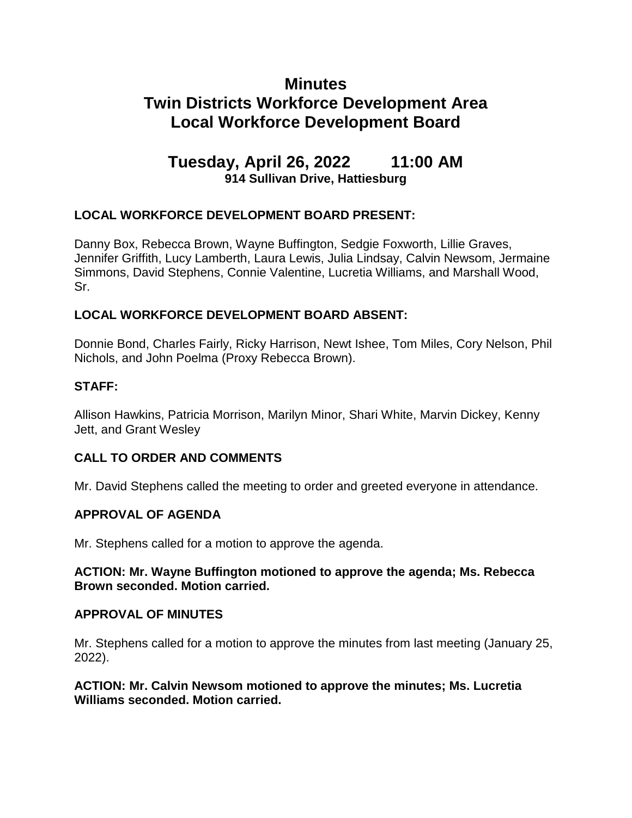# **Minutes Twin Districts Workforce Development Area Local Workforce Development Board**

# **Tuesday, April 26, 2022 11:00 AM 914 Sullivan Drive, Hattiesburg**

# **LOCAL WORKFORCE DEVELOPMENT BOARD PRESENT:**

Danny Box, Rebecca Brown, Wayne Buffington, Sedgie Foxworth, Lillie Graves, Jennifer Griffith, Lucy Lamberth, Laura Lewis, Julia Lindsay, Calvin Newsom, Jermaine Simmons, David Stephens, Connie Valentine, Lucretia Williams, and Marshall Wood, Sr.

## **LOCAL WORKFORCE DEVELOPMENT BOARD ABSENT:**

Donnie Bond, Charles Fairly, Ricky Harrison, Newt Ishee, Tom Miles, Cory Nelson, Phil Nichols, and John Poelma (Proxy Rebecca Brown).

# **STAFF:**

Allison Hawkins, Patricia Morrison, Marilyn Minor, Shari White, Marvin Dickey, Kenny Jett, and Grant Wesley

# **CALL TO ORDER AND COMMENTS**

Mr. David Stephens called the meeting to order and greeted everyone in attendance.

#### **APPROVAL OF AGENDA**

Mr. Stephens called for a motion to approve the agenda.

#### **ACTION: Mr. Wayne Buffington motioned to approve the agenda; Ms. Rebecca Brown seconded. Motion carried.**

#### **APPROVAL OF MINUTES**

Mr. Stephens called for a motion to approve the minutes from last meeting (January 25, 2022).

#### **ACTION: Mr. Calvin Newsom motioned to approve the minutes; Ms. Lucretia Williams seconded. Motion carried.**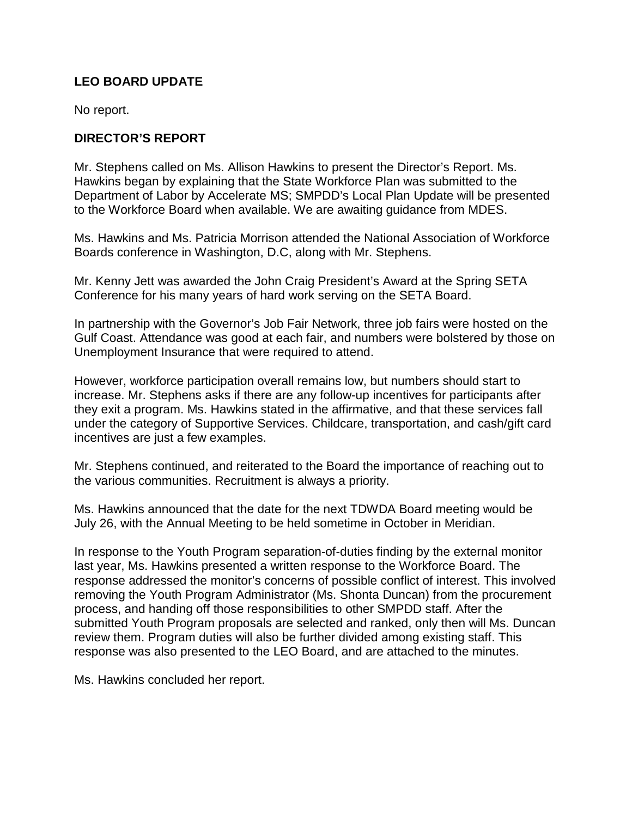## **LEO BOARD UPDATE**

No report.

## **DIRECTOR'S REPORT**

Mr. Stephens called on Ms. Allison Hawkins to present the Director's Report. Ms. Hawkins began by explaining that the State Workforce Plan was submitted to the Department of Labor by Accelerate MS; SMPDD's Local Plan Update will be presented to the Workforce Board when available. We are awaiting guidance from MDES.

Ms. Hawkins and Ms. Patricia Morrison attended the National Association of Workforce Boards conference in Washington, D.C, along with Mr. Stephens.

Mr. Kenny Jett was awarded the John Craig President's Award at the Spring SETA Conference for his many years of hard work serving on the SETA Board.

In partnership with the Governor's Job Fair Network, three job fairs were hosted on the Gulf Coast. Attendance was good at each fair, and numbers were bolstered by those on Unemployment Insurance that were required to attend.

However, workforce participation overall remains low, but numbers should start to increase. Mr. Stephens asks if there are any follow-up incentives for participants after they exit a program. Ms. Hawkins stated in the affirmative, and that these services fall under the category of Supportive Services. Childcare, transportation, and cash/gift card incentives are just a few examples.

Mr. Stephens continued, and reiterated to the Board the importance of reaching out to the various communities. Recruitment is always a priority.

Ms. Hawkins announced that the date for the next TDWDA Board meeting would be July 26, with the Annual Meeting to be held sometime in October in Meridian.

In response to the Youth Program separation-of-duties finding by the external monitor last year, Ms. Hawkins presented a written response to the Workforce Board. The response addressed the monitor's concerns of possible conflict of interest. This involved removing the Youth Program Administrator (Ms. Shonta Duncan) from the procurement process, and handing off those responsibilities to other SMPDD staff. After the submitted Youth Program proposals are selected and ranked, only then will Ms. Duncan review them. Program duties will also be further divided among existing staff. This response was also presented to the LEO Board, and are attached to the minutes.

Ms. Hawkins concluded her report.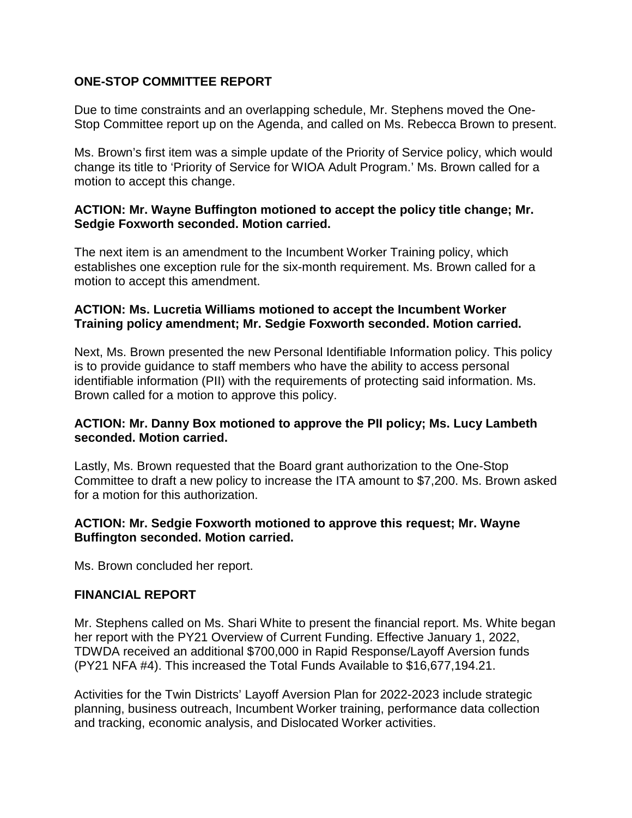### **ONE-STOP COMMITTEE REPORT**

Due to time constraints and an overlapping schedule, Mr. Stephens moved the One-Stop Committee report up on the Agenda, and called on Ms. Rebecca Brown to present.

Ms. Brown's first item was a simple update of the Priority of Service policy, which would change its title to 'Priority of Service for WIOA Adult Program.' Ms. Brown called for a motion to accept this change.

### **ACTION: Mr. Wayne Buffington motioned to accept the policy title change; Mr. Sedgie Foxworth seconded. Motion carried.**

The next item is an amendment to the Incumbent Worker Training policy, which establishes one exception rule for the six-month requirement. Ms. Brown called for a motion to accept this amendment.

### **ACTION: Ms. Lucretia Williams motioned to accept the Incumbent Worker Training policy amendment; Mr. Sedgie Foxworth seconded. Motion carried.**

Next, Ms. Brown presented the new Personal Identifiable Information policy. This policy is to provide guidance to staff members who have the ability to access personal identifiable information (PII) with the requirements of protecting said information. Ms. Brown called for a motion to approve this policy.

## **ACTION: Mr. Danny Box motioned to approve the PII policy; Ms. Lucy Lambeth seconded. Motion carried.**

Lastly, Ms. Brown requested that the Board grant authorization to the One-Stop Committee to draft a new policy to increase the ITA amount to \$7,200. Ms. Brown asked for a motion for this authorization.

## **ACTION: Mr. Sedgie Foxworth motioned to approve this request; Mr. Wayne Buffington seconded. Motion carried.**

Ms. Brown concluded her report.

#### **FINANCIAL REPORT**

Mr. Stephens called on Ms. Shari White to present the financial report. Ms. White began her report with the PY21 Overview of Current Funding. Effective January 1, 2022, TDWDA received an additional \$700,000 in Rapid Response/Layoff Aversion funds (PY21 NFA #4). This increased the Total Funds Available to \$16,677,194.21.

Activities for the Twin Districts' Layoff Aversion Plan for 2022-2023 include strategic planning, business outreach, Incumbent Worker training, performance data collection and tracking, economic analysis, and Dislocated Worker activities.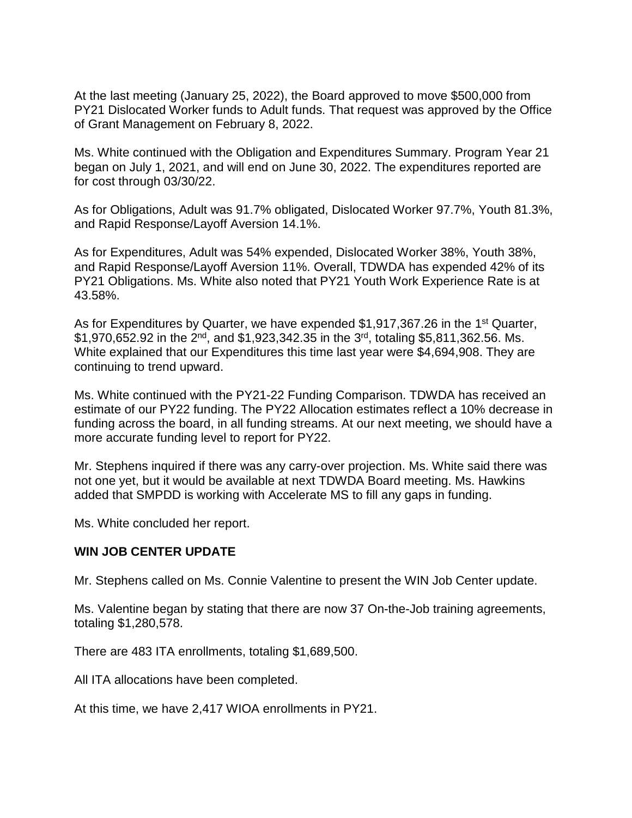At the last meeting (January 25, 2022), the Board approved to move \$500,000 from PY21 Dislocated Worker funds to Adult funds. That request was approved by the Office of Grant Management on February 8, 2022.

Ms. White continued with the Obligation and Expenditures Summary. Program Year 21 began on July 1, 2021, and will end on June 30, 2022. The expenditures reported are for cost through 03/30/22.

As for Obligations, Adult was 91.7% obligated, Dislocated Worker 97.7%, Youth 81.3%, and Rapid Response/Layoff Aversion 14.1%.

As for Expenditures, Adult was 54% expended, Dislocated Worker 38%, Youth 38%, and Rapid Response/Layoff Aversion 11%. Overall, TDWDA has expended 42% of its PY21 Obligations. Ms. White also noted that PY21 Youth Work Experience Rate is at 43.58%.

As for Expenditures by Quarter, we have expended \$1,917,367.26 in the 1<sup>st</sup> Quarter,  $$1,970,652.92$  in the  $2^{nd}$ , and  $$1,923,342.35$  in the 3<sup>rd</sup>, totaling \$5,811,362.56. Ms. White explained that our Expenditures this time last year were \$4,694,908. They are continuing to trend upward.

Ms. White continued with the PY21-22 Funding Comparison. TDWDA has received an estimate of our PY22 funding. The PY22 Allocation estimates reflect a 10% decrease in funding across the board, in all funding streams. At our next meeting, we should have a more accurate funding level to report for PY22.

Mr. Stephens inquired if there was any carry-over projection. Ms. White said there was not one yet, but it would be available at next TDWDA Board meeting. Ms. Hawkins added that SMPDD is working with Accelerate MS to fill any gaps in funding.

Ms. White concluded her report.

#### **WIN JOB CENTER UPDATE**

Mr. Stephens called on Ms. Connie Valentine to present the WIN Job Center update.

Ms. Valentine began by stating that there are now 37 On-the-Job training agreements, totaling \$1,280,578.

There are 483 ITA enrollments, totaling \$1,689,500.

All ITA allocations have been completed.

At this time, we have 2,417 WIOA enrollments in PY21.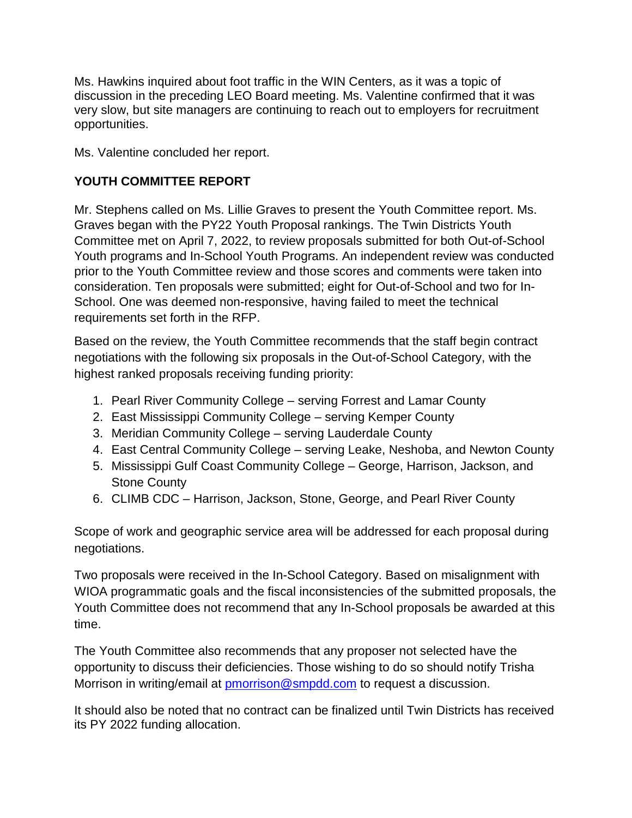Ms. Hawkins inquired about foot traffic in the WIN Centers, as it was a topic of discussion in the preceding LEO Board meeting. Ms. Valentine confirmed that it was very slow, but site managers are continuing to reach out to employers for recruitment opportunities.

Ms. Valentine concluded her report.

# **YOUTH COMMITTEE REPORT**

Mr. Stephens called on Ms. Lillie Graves to present the Youth Committee report. Ms. Graves began with the PY22 Youth Proposal rankings. The Twin Districts Youth Committee met on April 7, 2022, to review proposals submitted for both Out-of-School Youth programs and In-School Youth Programs. An independent review was conducted prior to the Youth Committee review and those scores and comments were taken into consideration. Ten proposals were submitted; eight for Out-of-School and two for In-School. One was deemed non-responsive, having failed to meet the technical requirements set forth in the RFP.

Based on the review, the Youth Committee recommends that the staff begin contract negotiations with the following six proposals in the Out-of-School Category, with the highest ranked proposals receiving funding priority:

- 1. Pearl River Community College serving Forrest and Lamar County
- 2. East Mississippi Community College serving Kemper County
- 3. Meridian Community College serving Lauderdale County
- 4. East Central Community College serving Leake, Neshoba, and Newton County
- 5. Mississippi Gulf Coast Community College George, Harrison, Jackson, and Stone County
- 6. CLIMB CDC Harrison, Jackson, Stone, George, and Pearl River County

Scope of work and geographic service area will be addressed for each proposal during negotiations.

Two proposals were received in the In-School Category. Based on misalignment with WIOA programmatic goals and the fiscal inconsistencies of the submitted proposals, the Youth Committee does not recommend that any In-School proposals be awarded at this time.

The Youth Committee also recommends that any proposer not selected have the opportunity to discuss their deficiencies. Those wishing to do so should notify Trisha Morrison in writing/email at [pmorrison@smpdd.com](mailto:pmorrison@smpdd.com) to request a discussion.

It should also be noted that no contract can be finalized until Twin Districts has received its PY 2022 funding allocation.